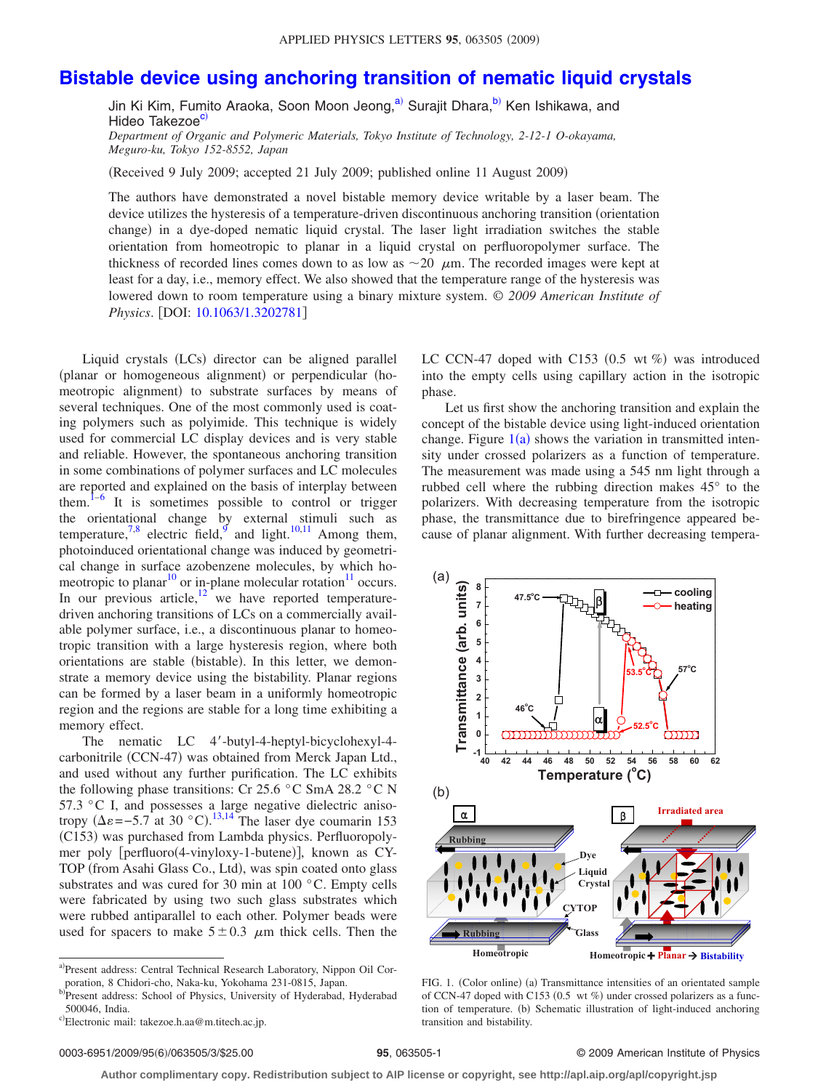## **[Bistable device using anchoring transition of nematic liquid crystals](http://dx.doi.org/10.1063/1.3202781)**

Jin Ki Kim, Fumito Araoka, Soon Moon Jeong,<sup>a)</sup> Surajit Dhara,<sup>b)</sup> Ken Ishikawa, and Hideo Takezoe<sup>c)</sup>

*Department of Organic and Polymeric Materials, Tokyo Institute of Technology, 2-12-1 O-okayama, Meguro-ku, Tokyo 152-8552, Japan*

Received 9 July 2009; accepted 21 July 2009; published online 11 August 2009-

The authors have demonstrated a novel bistable memory device writable by a laser beam. The device utilizes the hysteresis of a temperature-driven discontinuous anchoring transition (orientation change) in a dye-doped nematic liquid crystal. The laser light irradiation switches the stable orientation from homeotropic to planar in a liquid crystal on perfluoropolymer surface. The thickness of recorded lines comes down to as low as  $\sim$ 20  $\mu$ m. The recorded images were kept at least for a day, i.e., memory effect. We also showed that the temperature range of the hysteresis was lowered down to room temperature using a binary mixture system. © *2009 American Institute of Physics*. DOI: [10.1063/1.3202781](http://dx.doi.org/10.1063/1.3202781)

Liquid crystals (LCs) director can be aligned parallel (planar or homogeneous alignment) or perpendicular (homeotropic alignment) to substrate surfaces by means of several techniques. One of the most commonly used is coating polymers such as polyimide. This technique is widely used for commercial LC display devices and is very stable and reliable. However, the spontaneous anchoring transition in some combinations of polymer surfaces and LC molecules are reported and explained on the basis of interplay between them. $1-6$  $1-6$  It is sometimes possible to control or trigger the orientational change by external stimuli such as temperature, $7,8$  $7,8$  electric field, and light.<sup>10[,11](#page-2-6)</sup> Among them, photoinduced orientational change was induced by geometrical change in surface azobenzene molecules, by which homeotropic to planar<sup>10</sup> or in-plane molecular rotation<sup>11</sup> occurs. In our previous article, $12$  we have reported temperaturedriven anchoring transitions of LCs on a commercially available polymer surface, i.e., a discontinuous planar to homeotropic transition with a large hysteresis region, where both orientations are stable (bistable). In this letter, we demonstrate a memory device using the bistability. Planar regions can be formed by a laser beam in a uniformly homeotropic region and the regions are stable for a long time exhibiting a memory effect.

The nematic LC 4'-butyl-4-heptyl-bicyclohexyl-4carbonitrile (CCN-47) was obtained from Merck Japan Ltd., and used without any further purification. The LC exhibits the following phase transitions: Cr 25.6 °C SmA 28.2 °C N 57.3 °C I, and possesses a large negative dielectric anisotropy  $(\Delta \varepsilon = -5.7$  at 30 °C).<sup>[13,](#page-2-8)[14](#page-2-9)</sup> The laser dye coumarin 153 (C153) was purchased from Lambda physics. Perfluoropolymer poly [perfluoro(4-vinyloxy-1-butene)], known as CY-TOP (from Asahi Glass Co., Ltd), was spin coated onto glass substrates and was cured for 30 min at 100 °C. Empty cells were fabricated by using two such glass substrates which were rubbed antiparallel to each other. Polymer beads were used for spacers to make  $5\pm0.3$   $\mu$ m thick cells. Then the

<span id="page-0-2"></span><span id="page-0-1"></span><span id="page-0-0"></span>a)Present address: Central Technical Research Laboratory, Nippon Oil Corporation, 8 Chidori-cho, Naka-ku, Yokohama 231-0815, Japan.

LC CCN-47 doped with C153 (0.5 wt %) was introduced into the empty cells using capillary action in the isotropic phase.

Let us first show the anchoring transition and explain the concept of the bistable device using light-induced orientation change. Figure  $1(a)$  $1(a)$  shows the variation in transmitted intensity under crossed polarizers as a function of temperature. The measurement was made using a 545 nm light through a rubbed cell where the rubbing direction makes 45° to the polarizers. With decreasing temperature from the isotropic phase, the transmittance due to birefringence appeared because of planar alignment. With further decreasing tempera-

<span id="page-0-3"></span>

FIG. 1. (Color online) (a) Transmittance intensities of an orientated sample of CCN-47 doped with C153 (0.5 wt %) under crossed polarizers as a function of temperature. (b) Schematic illustration of light-induced anchoring transition and bistability.

## **95**, 063505-1 © 2009 American Institute of Physics

**Author complimentary copy. Redistribution subject to AIP license or copyright, see http://apl.aip.org/apl/copyright.jsp**

b)Present address: School of Physics, University of Hyderabad, Hyderabad 500046, India.

c)Electronic mail: takezoe.h.aa@m.titech.ac.jp.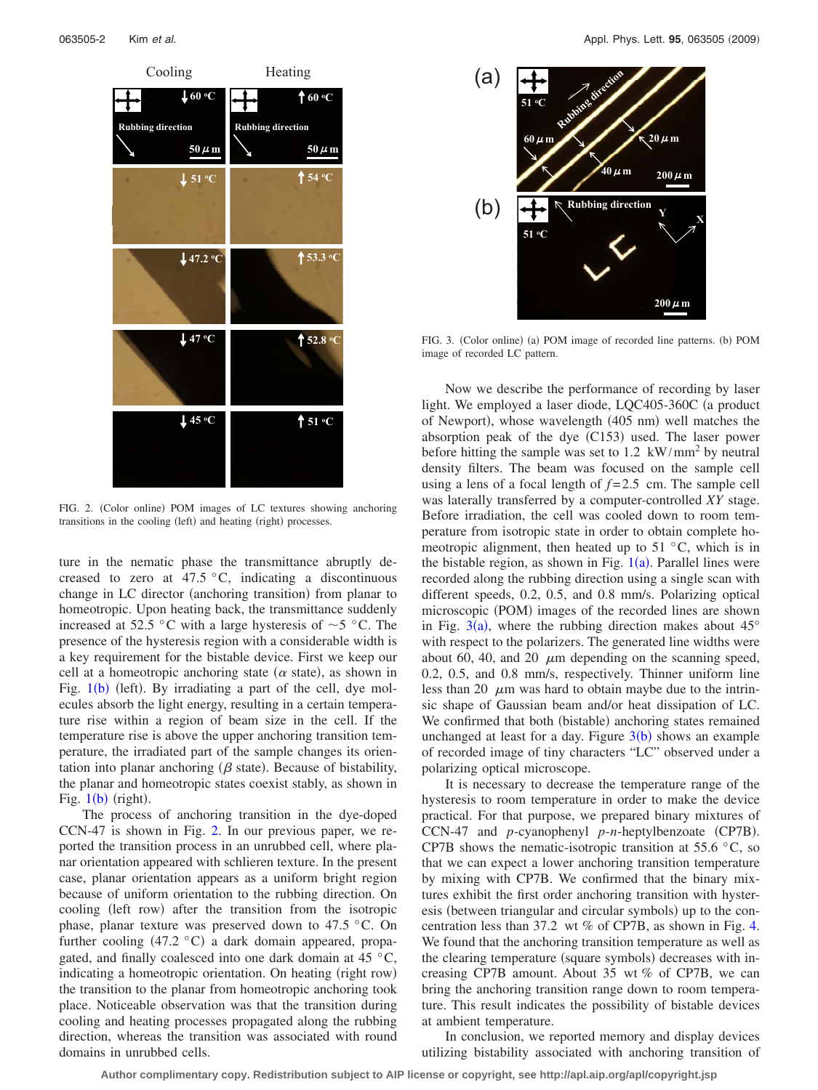<span id="page-1-0"></span>

FIG. 2. (Color online) POM images of LC textures showing anchoring transitions in the cooling (left) and heating (right) processes.

ture in the nematic phase the transmittance abruptly decreased to zero at  $47.5 \degree C$ , indicating a discontinuous change in LC director (anchoring transition) from planar to homeotropic. Upon heating back, the transmittance suddenly increased at 52.5 °C with a large hysteresis of  $\sim$  5 °C. The presence of the hysteresis region with a considerable width is a key requirement for the bistable device. First we keep our cell at a homeotropic anchoring state  $(\alpha \text{ state})$ , as shown in Fig.  $1(b)$  $1(b)$  (left). By irradiating a part of the cell, dye molecules absorb the light energy, resulting in a certain temperature rise within a region of beam size in the cell. If the temperature rise is above the upper anchoring transition temperature, the irradiated part of the sample changes its orientation into planar anchoring ( $\beta$  state). Because of bistability, the planar and homeotropic states coexist stably, as shown in Fig.  $1(b)$  $1(b)$  (right).

The process of anchoring transition in the dye-doped CCN-47 is shown in Fig. [2.](#page-1-0) In our previous paper, we reported the transition process in an unrubbed cell, where planar orientation appeared with schlieren texture. In the present case, planar orientation appears as a uniform bright region because of uniform orientation to the rubbing direction. On cooling (left row) after the transition from the isotropic phase, planar texture was preserved down to 47.5 °C. On further cooling  $(47.2 \degree C)$  a dark domain appeared, propagated, and finally coalesced into one dark domain at 45 °C, indicating a homeotropic orientation. On heating (right row) the transition to the planar from homeotropic anchoring took place. Noticeable observation was that the transition during cooling and heating processes propagated along the rubbing direction, whereas the transition was associated with round domains in unrubbed cells.

<span id="page-1-1"></span>

FIG. 3. (Color online) (a) POM image of recorded line patterns. (b) POM image of recorded LC pattern.

Now we describe the performance of recording by laser light. We employed a laser diode, LQC405-360C (a product of Newport), whose wavelength (405 nm) well matches the absorption peak of the dye  $(C153)$  used. The laser power before hitting the sample was set to  $1.2 \text{ kW/mm}^2$  by neutral density filters. The beam was focused on the sample cell using a lens of a focal length of *f* = 2.5 cm. The sample cell was laterally transferred by a computer-controlled *XY* stage. Before irradiation, the cell was cooled down to room temperature from isotropic state in order to obtain complete homeotropic alignment, then heated up to  $51^{\circ}$ C, which is in the bistable region, as shown in Fig.  $1(a)$  $1(a)$ . Parallel lines were recorded along the rubbing direction using a single scan with different speeds, 0.2, 0.5, and 0.8 mm/s. Polarizing optical microscopic (POM) images of the recorded lines are shown in Fig. [3](#page-1-1)(a), where the rubbing direction makes about  $45^{\circ}$ with respect to the polarizers. The generated line widths were about 60, 40, and 20  $\mu$ m depending on the scanning speed, 0.2, 0.5, and 0.8 mm/s, respectively. Thinner uniform line less than 20  $\mu$ m was hard to obtain maybe due to the intrinsic shape of Gaussian beam and/or heat dissipation of LC. We confirmed that both (bistable) anchoring states remained unchanged at least for a day. Figure  $3(b)$  $3(b)$  shows an example of recorded image of tiny characters "LC" observed under a polarizing optical microscope.

It is necessary to decrease the temperature range of the hysteresis to room temperature in order to make the device practical. For that purpose, we prepared binary mixtures of CCN-47 and *p*-cyanophenyl *p*-*n*-heptylbenzoate (CP7B). CP7B shows the nematic-isotropic transition at 55.6  $\degree$ C, so that we can expect a lower anchoring transition temperature by mixing with CP7B. We confirmed that the binary mixtures exhibit the first order anchoring transition with hysteresis (between triangular and circular symbols) up to the concentration less than 37.2 wt *%* of CP7B, as shown in Fig. [4.](#page-2-10) We found that the anchoring transition temperature as well as the clearing temperature (square symbols) decreases with increasing CP7B amount. About 35 wt *%* of CP7B, we can bring the anchoring transition range down to room temperature. This result indicates the possibility of bistable devices at ambient temperature.

In conclusion, we reported memory and display devices utilizing bistability associated with anchoring transition of

**Author complimentary copy. Redistribution subject to AIP license or copyright, see http://apl.aip.org/apl/copyright.jsp**